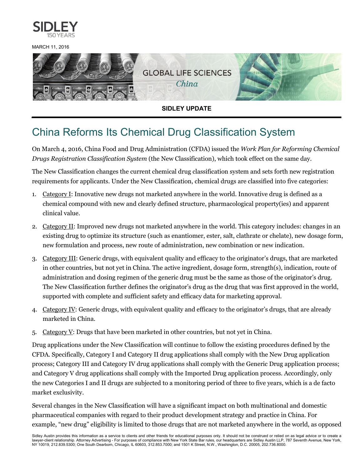

MARCH 11, 2016



**SIDLEY UPDATE**

## China Reforms Its Chemical Drug Classification System

On March 4, 2016, China Food and Drug Administration (CFDA) issued the *Work Plan for Reforming Chemical Drugs Registration Classification System* (the New Classification), which took effect on the same day.

The New Classification changes the current chemical drug classification system and sets forth new registration requirements for applicants. Under the New Classification, chemical drugs are classified into five categories:

- 1. Category I: Innovative new drugs not marketed anywhere in the world. Innovative drug is defined as a chemical compound with new and clearly defined structure, pharmacological property(ies) and apparent clinical value.
- 2. Category II: Improved new drugs not marketed anywhere in the world. This category includes: changes in an existing drug to optimize its structure (such as enantiomer, ester, salt, clathrate or chelate), new dosage form, new formulation and process, new route of administration, new combination or new indication.
- 3. Category III: Generic drugs, with equivalent quality and efficacy to the originator's drugs, that are marketed in other countries, but not yet in China. The active ingredient, dosage form, strength(s), indication, route of administration and dosing regimen of the generic drug must be the same as those of the originator's drug. The New Classification further defines the originator's drug as the drug that was first approved in the world, supported with complete and sufficient safety and efficacy data for marketing approval.
- 4. Category IV: Generic drugs, with equivalent quality and efficacy to the originator's drugs, that are already marketed in China.
- 5. Category V: Drugs that have been marketed in other countries, but not yet in China.

Drug applications under the New Classification will continue to follow the existing procedures defined by the CFDA. Specifically, Category I and Category II drug applications shall comply with the New Drug application process; Category III and Category IV drug applications shall comply with the Generic Drug application process; and Category V drug applications shall comply with the Imported Drug application process. Accordingly, only the new Categories I and II drugs are subjected to a monitoring period of three to five years, which is a de facto market exclusivity.

Several changes in the New Classification will have a significant impact on both multinational and domestic pharmaceutical companies with regard to their product development strategy and practice in China. For example, "new drug" eligibility is limited to those drugs that are not marketed anywhere in the world, as opposed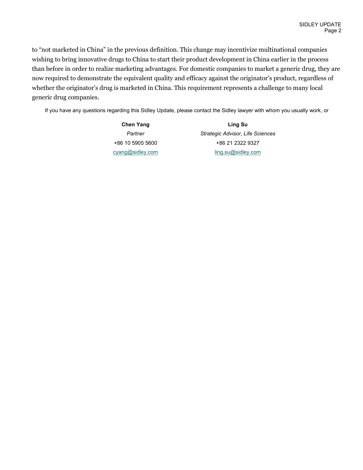to "not marketed in China" in the previous definition. This change may incentivize multinational companies wishing to bring innovative drugs to China to start their product development in China earlier in the process than before in order to realize marketing advantages. For domestic companies to market a generic drug, they are now required to demonstrate the equivalent quality and efficacy against the originator's product, regardless of whether the originator's drug is marketed in China. This requirement represents a challenge to many local generic drug companies.

If you have any questions regarding this Sidley Update, please contact the Sidley lawyer with whom you usually work, or

**Chen Yang** *Partner* +86 10 5905 5600 [cyang@sidley.com](mailto:cyang@sidley.com)

**Ling Su** *Strategic Advisor, Life Sciences* +86 21 2322 9327 [ling.su@sidley.com](mailto:ling.su@sidley.com)